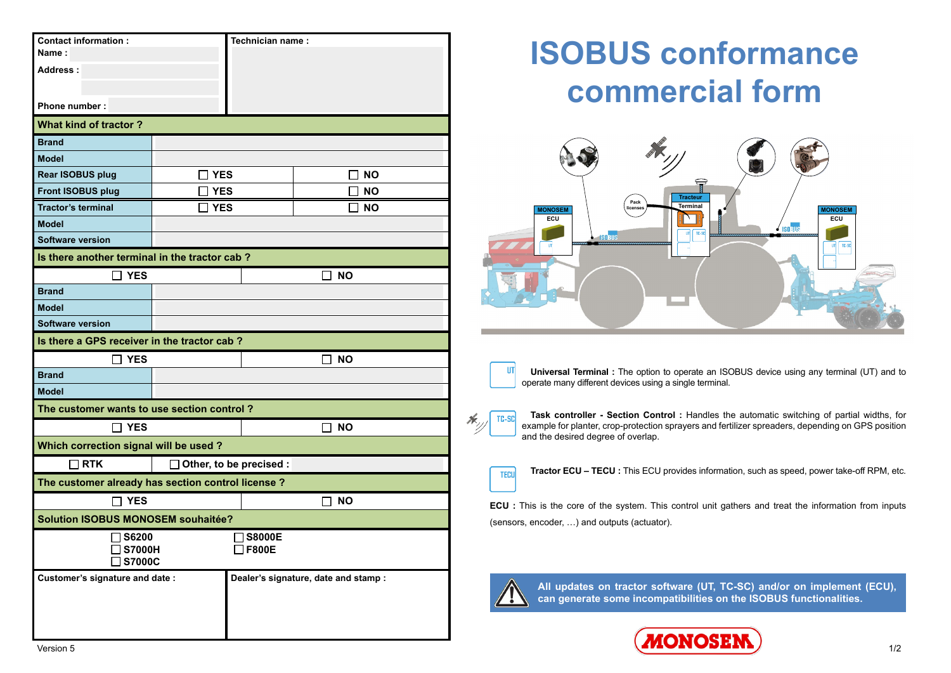| <b>Contact information:</b>                      |                                                   | Technician name:                     |           |  |  |  |  |  |  |  |
|--------------------------------------------------|---------------------------------------------------|--------------------------------------|-----------|--|--|--|--|--|--|--|
| Name:                                            |                                                   |                                      |           |  |  |  |  |  |  |  |
| Address:                                         |                                                   |                                      |           |  |  |  |  |  |  |  |
|                                                  |                                                   |                                      |           |  |  |  |  |  |  |  |
| <b>Phone number:</b>                             |                                                   |                                      |           |  |  |  |  |  |  |  |
| <b>What kind of tractor?</b>                     |                                                   |                                      |           |  |  |  |  |  |  |  |
| <b>Brand</b>                                     |                                                   |                                      |           |  |  |  |  |  |  |  |
| <b>Model</b>                                     |                                                   |                                      |           |  |  |  |  |  |  |  |
| Rear ISOBUS plug                                 | YES                                               |                                      | <b>NO</b> |  |  |  |  |  |  |  |
| <b>Front ISOBUS plug</b>                         | <b>YES</b>                                        |                                      | <b>NO</b> |  |  |  |  |  |  |  |
| <b>Tractor's terminal</b>                        | <b>YES</b>                                        |                                      | <b>NO</b> |  |  |  |  |  |  |  |
| <b>Model</b>                                     |                                                   |                                      |           |  |  |  |  |  |  |  |
| <b>Software version</b>                          |                                                   |                                      |           |  |  |  |  |  |  |  |
| Is there another terminal in the tractor cab?    |                                                   |                                      |           |  |  |  |  |  |  |  |
| $\Box$ YES                                       |                                                   |                                      | סא ר      |  |  |  |  |  |  |  |
| <b>Brand</b>                                     |                                                   |                                      |           |  |  |  |  |  |  |  |
| <b>Model</b>                                     |                                                   |                                      |           |  |  |  |  |  |  |  |
| <b>Software version</b>                          |                                                   |                                      |           |  |  |  |  |  |  |  |
| Is there a GPS receiver in the tractor cab?      |                                                   |                                      |           |  |  |  |  |  |  |  |
| <b>YES</b>                                       |                                                   | <b>NO</b>                            |           |  |  |  |  |  |  |  |
| <b>Brand</b>                                     |                                                   |                                      |           |  |  |  |  |  |  |  |
| <b>Model</b>                                     |                                                   |                                      |           |  |  |  |  |  |  |  |
| The customer wants to use section control?       |                                                   |                                      |           |  |  |  |  |  |  |  |
| $\Box$ YES                                       |                                                   | ר NO                                 |           |  |  |  |  |  |  |  |
| Which correction signal will be used?            |                                                   |                                      |           |  |  |  |  |  |  |  |
| $\Box$ RTK                                       |                                                   | $\Box$ Other, to be precised :       |           |  |  |  |  |  |  |  |
|                                                  | The customer already has section control license? |                                      |           |  |  |  |  |  |  |  |
| $\Box$ YES                                       |                                                   | $\Box$ NO                            |           |  |  |  |  |  |  |  |
| <b>Solution ISOBUS MONOSEM souhaitée?</b>        |                                                   |                                      |           |  |  |  |  |  |  |  |
| $\Box$ S6200<br>$\Box$ S8000E                    |                                                   |                                      |           |  |  |  |  |  |  |  |
| $\square$ F800E<br><b>S7000H</b>                 |                                                   |                                      |           |  |  |  |  |  |  |  |
| <b>S7000C</b><br>Customer's signature and date : |                                                   |                                      |           |  |  |  |  |  |  |  |
|                                                  |                                                   | Dealer's signature, date and stamp : |           |  |  |  |  |  |  |  |
|                                                  |                                                   |                                      |           |  |  |  |  |  |  |  |
|                                                  |                                                   |                                      |           |  |  |  |  |  |  |  |
|                                                  |                                                   |                                      |           |  |  |  |  |  |  |  |

## **ISOBUS conformance commercial form**



**Universal Terminal :** The option to operate an ISOBUS device using any terminal (UT) and to operate many different devices using a single terminal.

**Task controller - Section Control :** Handles the automatic switching of partial widths, for TC-SC example for planter, crop-protection sprayers and fertilizer spreaders, depending on GPS position and the desired degree of overlap.

**Tractor ECU – TECU :** This ECU provides information, such as speed, power take-off RPM, etc.

**ECU :** This is the core of the system. This control unit gathers and treat the information from inputs (sensors, encoder, …) and outputs (actuator).



TECH

**url** 

**All updates on tractor software (UT, TC-SC) and/or on implement (ECU), can generate some incompatibilities on the ISOBUS functionalities.**